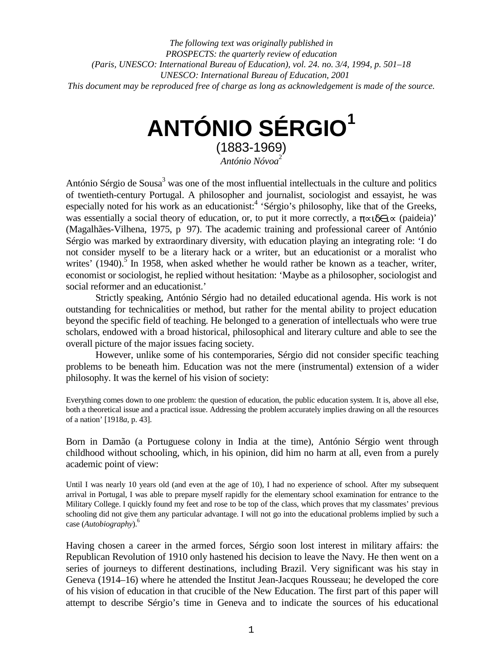*The following text was originally published in PROSPECTS: the quarterly review of education (Paris, UNESCO: International Bureau of Education), vol. 24. no. 3/4, 1994, p. 501–18 UNESCO: International Bureau of Education, 2001 This document may be reproduced free of charge as long as acknowledgement is made of the source.*

# **ANTÓNIO SÉRGIO1**

(1883-1969) *António Nóvoa*<sup>2</sup>

António Sérgio de Sousa<sup>3</sup> was one of the most influential intellectuals in the culture and politics of twentieth-century Portugal. A philosopher and journalist, sociologist and essayist, he was especially noted for his work as an educationist:<sup>4</sup> 'Sérgio's philosophy, like that of the Greeks, was essentially a social theory of education, or, to put it more correctly, a  $\pi \approx 0$  (paideia)' (Magalhães-Vilhena, 1975, p 97). The academic training and professional career of António Sérgio was marked by extraordinary diversity, with education playing an integrating role: 'I do not consider myself to be a literary hack or a writer, but an educationist or a moralist who writes' (1940).<sup>5</sup> In 1958, when asked whether he would rather be known as a teacher, writer, economist or sociologist, he replied without hesitation: 'Maybe as a philosopher, sociologist and social reformer and an educationist.'

Strictly speaking, António Sérgio had no detailed educational agenda. His work is not outstanding for technicalities or method, but rather for the mental ability to project education beyond the specific field of teaching. He belonged to a generation of intellectuals who were true scholars, endowed with a broad historical, philosophical and literary culture and able to see the overall picture of the major issues facing society.

However, unlike some of his contemporaries, Sérgio did not consider specific teaching problems to be beneath him. Education was not the mere (instrumental) extension of a wider philosophy. It was the kernel of his vision of society:

Everything comes down to one problem: the question of education, the public education system. It is, above all else, both a theoretical issue and a practical issue. Addressing the problem accurately implies drawing on all the resources of a nation' [1918*a*, p. 43].

Born in Damão (a Portuguese colony in India at the time), António Sérgio went through childhood without schooling, which, in his opinion, did him no harm at all, even from a purely academic point of view:

Until I was nearly 10 years old (and even at the age of 10), I had no experience of school. After my subsequent arrival in Portugal, I was able to prepare myself rapidly for the elementary school examination for entrance to the Military College. I quickly found my feet and rose to be top of the class, which proves that my classmates' previous schooling did not give them any particular advantage. I will not go into the educational problems implied by such a case (*Autobiography*).6

Having chosen a career in the armed forces, Sérgio soon lost interest in military affairs: the Republican Revolution of 1910 only hastened his decision to leave the Navy. He then went on a series of journeys to different destinations, including Brazil. Very significant was his stay in Geneva (1914–16) where he attended the Institut Jean-Jacques Rousseau; he developed the core of his vision of education in that crucible of the New Education. The first part of this paper will attempt to describe Sérgio's time in Geneva and to indicate the sources of his educational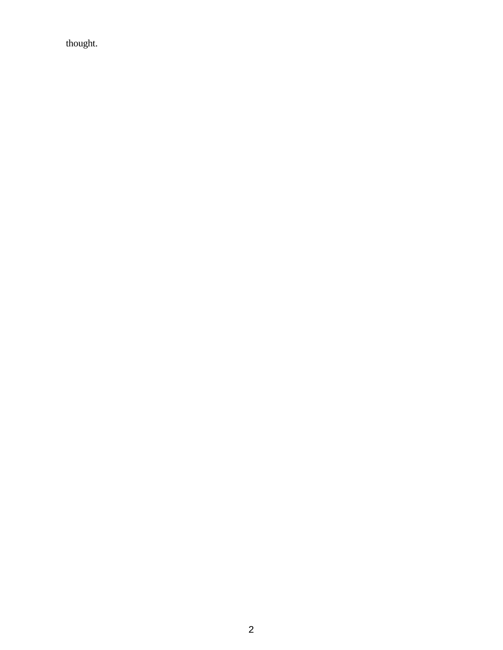thought.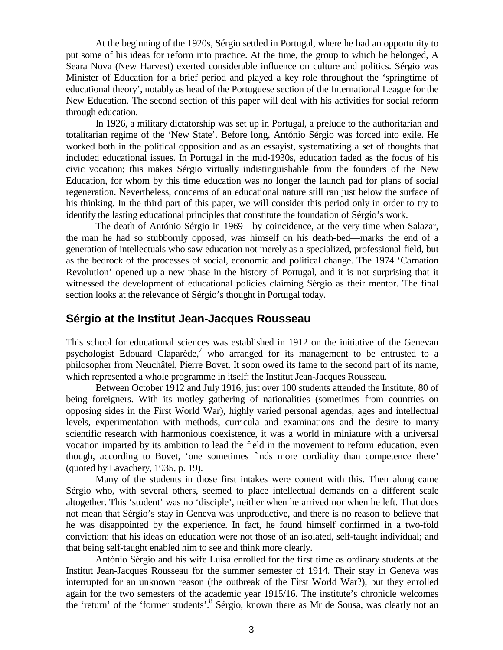At the beginning of the 1920s, Sérgio settled in Portugal, where he had an opportunity to put some of his ideas for reform into practice. At the time, the group to which he belonged, A Seara Nova (New Harvest) exerted considerable influence on culture and politics. Sérgio was Minister of Education for a brief period and played a key role throughout the 'springtime of educational theory', notably as head of the Portuguese section of the International League for the New Education. The second section of this paper will deal with his activities for social reform through education.

In 1926, a military dictatorship was set up in Portugal, a prelude to the authoritarian and totalitarian regime of the 'New State'. Before long, António Sérgio was forced into exile. He worked both in the political opposition and as an essayist, systematizing a set of thoughts that included educational issues. In Portugal in the mid-1930s, education faded as the focus of his civic vocation; this makes Sérgio virtually indistinguishable from the founders of the New Education, for whom by this time education was no longer the launch pad for plans of social regeneration. Nevertheless, concerns of an educational nature still ran just below the surface of his thinking. In the third part of this paper, we will consider this period only in order to try to identify the lasting educational principles that constitute the foundation of Sérgio's work.

The death of António Sérgio in 1969—by coincidence, at the very time when Salazar, the man he had so stubbornly opposed, was himself on his death-bed—marks the end of a generation of intellectuals who saw education not merely as a specialized, professional field, but as the bedrock of the processes of social, economic and political change. The 1974 'Carnation Revolution' opened up a new phase in the history of Portugal, and it is not surprising that it witnessed the development of educational policies claiming Sérgio as their mentor. The final section looks at the relevance of Sérgio's thought in Portugal today.

# **Sérgio at the Institut Jean-Jacques Rousseau**

This school for educational sciences was established in 1912 on the initiative of the Genevan psychologist Edouard Claparède, $\frac{7}{1}$  who arranged for its management to be entrusted to a philosopher from Neuchâtel, Pierre Bovet. It soon owed its fame to the second part of its name, which represented a whole programme in itself: the Institut Jean-Jacques Rousseau.

Between October 1912 and July 1916, just over 100 students attended the Institute, 80 of being foreigners. With its motley gathering of nationalities (sometimes from countries on opposing sides in the First World War), highly varied personal agendas, ages and intellectual levels, experimentation with methods, curricula and examinations and the desire to marry scientific research with harmonious coexistence, it was a world in miniature with a universal vocation imparted by its ambition to lead the field in the movement to reform education, even though, according to Bovet, 'one sometimes finds more cordiality than competence there' (quoted by Lavachery, 1935, p. 19).

Many of the students in those first intakes were content with this. Then along came Sérgio who, with several others, seemed to place intellectual demands on a different scale altogether. This 'student' was no 'disciple', neither when he arrived nor when he left. That does not mean that Sérgio's stay in Geneva was unproductive, and there is no reason to believe that he was disappointed by the experience. In fact, he found himself confirmed in a two-fold conviction: that his ideas on education were not those of an isolated, self-taught individual; and that being self-taught enabled him to see and think more clearly.

António Sérgio and his wife Luísa enrolled for the first time as ordinary students at the Institut Jean-Jacques Rousseau for the summer semester of 1914. Their stay in Geneva was interrupted for an unknown reason (the outbreak of the First World War?), but they enrolled again for the two semesters of the academic year 1915/16. The institute's chronicle welcomes the 'return' of the 'former students'.<sup>8</sup> Sérgio, known there as Mr de Sousa, was clearly not an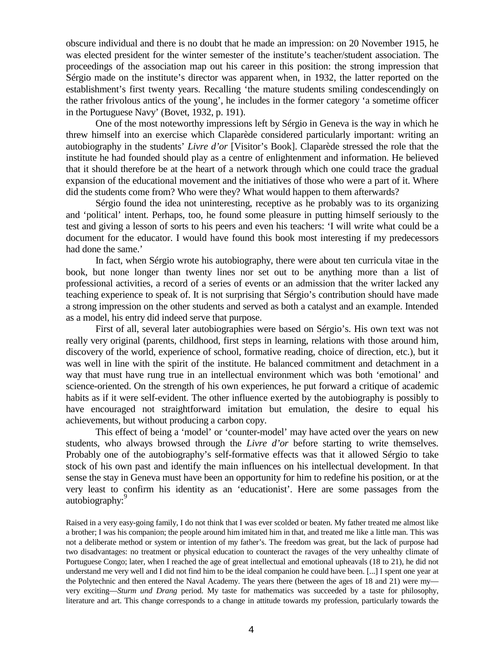obscure individual and there is no doubt that he made an impression: on 20 November 1915, he was elected president for the winter semester of the institute's teacher/student association. The proceedings of the association map out his career in this position: the strong impression that Sérgio made on the institute's director was apparent when, in 1932, the latter reported on the establishment's first twenty years. Recalling 'the mature students smiling condescendingly on the rather frivolous antics of the young', he includes in the former category 'a sometime officer in the Portuguese Navy' (Bovet, 1932, p. 191).

One of the most noteworthy impressions left by Sérgio in Geneva is the way in which he threw himself into an exercise which Claparède considered particularly important: writing an autobiography in the students' *Livre d'or* [Visitor's Book]. Claparède stressed the role that the institute he had founded should play as a centre of enlightenment and information. He believed that it should therefore be at the heart of a network through which one could trace the gradual expansion of the educational movement and the initiatives of those who were a part of it. Where did the students come from? Who were they? What would happen to them afterwards?

Sérgio found the idea not uninteresting, receptive as he probably was to its organizing and 'political' intent. Perhaps, too, he found some pleasure in putting himself seriously to the test and giving a lesson of sorts to his peers and even his teachers: 'I will write what could be a document for the educator. I would have found this book most interesting if my predecessors had done the same.'

In fact, when Sérgio wrote his autobiography, there were about ten curricula vitae in the book, but none longer than twenty lines nor set out to be anything more than a list of professional activities, a record of a series of events or an admission that the writer lacked any teaching experience to speak of. It is not surprising that Sérgio's contribution should have made a strong impression on the other students and served as both a catalyst and an example. Intended as a model, his entry did indeed serve that purpose.

First of all, several later autobiographies were based on Sérgio's. His own text was not really very original (parents, childhood, first steps in learning, relations with those around him, discovery of the world, experience of school, formative reading, choice of direction, etc.), but it was well in line with the spirit of the institute. He balanced commitment and detachment in a way that must have rung true in an intellectual environment which was both 'emotional' and science-oriented. On the strength of his own experiences, he put forward a critique of academic habits as if it were self-evident. The other influence exerted by the autobiography is possibly to have encouraged not straightforward imitation but emulation, the desire to equal his achievements, but without producing a carbon copy.

This effect of being a 'model' or 'counter-model' may have acted over the years on new students, who always browsed through the *Livre d'or* before starting to write themselves. Probably one of the autobiography's self-formative effects was that it allowed Sérgio to take stock of his own past and identify the main influences on his intellectual development. In that sense the stay in Geneva must have been an opportunity for him to redefine his position, or at the very least to confirm his identity as an 'educationist'. Here are some passages from the autobiography:

Raised in a very easy-going family, I do not think that I was ever scolded or beaten. My father treated me almost like a brother; I was his companion; the people around him imitated him in that, and treated me like a little man. This was not a deliberate method or system or intention of my father's. The freedom was great, but the lack of purpose had two disadvantages: no treatment or physical education to counteract the ravages of the very unhealthy climate of Portuguese Congo; later, when I reached the age of great intellectual and emotional upheavals (18 to 21), he did not understand me very well and I did not find him to be the ideal companion he could have been. [...] I spent one year at the Polytechnic and then entered the Naval Academy. The years there (between the ages of 18 and 21) were my very exciting—*Sturm und Drang* period. My taste for mathematics was succeeded by a taste for philosophy, literature and art. This change corresponds to a change in attitude towards my profession, particularly towards the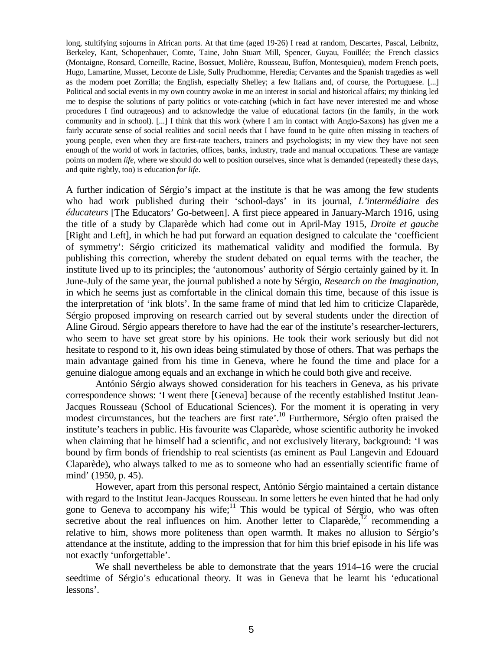long, stultifying sojourns in African ports. At that time (aged 19-26) I read at random, Descartes, Pascal, Leibnitz, Berkeley, Kant, Schopenhauer, Comte, Taine, John Stuart Mill, Spencer, Guyau, Fouillée; the French classics (Montaigne, Ronsard, Corneille, Racine, Bossuet, Molière, Rousseau, Buffon, Montesquieu), modern French poets, Hugo, Lamartine, Musset, Leconte de Lisle, Sully Prudhomme, Heredia; Cervantes and the Spanish tragedies as well as the modern poet Zorrilla; the English, especially Shelley; a few Italians and, of course, the Portuguese. [...] Political and social events in my own country awoke in me an interest in social and historical affairs; my thinking led me to despise the solutions of party politics or vote-catching (which in fact have never interested me and whose procedures I find outrageous) and to acknowledge the value of educational factors (in the family, in the work community and in school). [...] I think that this work (where I am in contact with Anglo-Saxons) has given me a fairly accurate sense of social realities and social needs that I have found to be quite often missing in teachers of young people, even when they are first-rate teachers, trainers and psychologists; in my view they have not seen enough of the world of work in factories, offices, banks, industry, trade and manual occupations. These are vantage points on modern *life*, where we should do well to position ourselves, since what is demanded (repeatedly these days, and quite rightly, too) is education *for life*.

A further indication of Sérgio's impact at the institute is that he was among the few students who had work published during their 'school-days' in its journal, *L'intermédiaire des éducateurs* [The Educators' Go-between]. A first piece appeared in January-March 1916, using the title of a study by Claparède which had come out in April-May 1915, *Droite et gauche* [Right and Left], in which he had put forward an equation designed to calculate the 'coefficient of symmetry': Sérgio criticized its mathematical validity and modified the formula. By publishing this correction, whereby the student debated on equal terms with the teacher, the institute lived up to its principles; the 'autonomous' authority of Sérgio certainly gained by it. In June-July of the same year, the journal published a note by Sérgio, *Research on the Imagination*, in which he seems just as comfortable in the clinical domain this time, because of this issue is the interpretation of 'ink blots'. In the same frame of mind that led him to criticize Claparède, Sérgio proposed improving on research carried out by several students under the direction of Aline Giroud. Sérgio appears therefore to have had the ear of the institute's researcher-lecturers, who seem to have set great store by his opinions. He took their work seriously but did not hesitate to respond to it, his own ideas being stimulated by those of others. That was perhaps the main advantage gained from his time in Geneva, where he found the time and place for a genuine dialogue among equals and an exchange in which he could both give and receive.

António Sérgio always showed consideration for his teachers in Geneva, as his private correspondence shows: 'I went there [Geneva] because of the recently established Institut Jean-Jacques Rousseau (School of Educational Sciences). For the moment it is operating in very modest circumstances, but the teachers are first rate'.<sup>10</sup> Furthermore, Sérgio often praised the institute's teachers in public. His favourite was Claparède, whose scientific authority he invoked when claiming that he himself had a scientific, and not exclusively literary, background: 'I was bound by firm bonds of friendship to real scientists (as eminent as Paul Langevin and Edouard Claparède), who always talked to me as to someone who had an essentially scientific frame of mind' (1950, p. 45).

However, apart from this personal respect, António Sérgio maintained a certain distance with regard to the Institut Jean-Jacques Rousseau. In some letters he even hinted that he had only gone to Geneva to accompany his wife;<sup>11</sup> This would be typical of Sérgio, who was often secretive about the real influences on him. Another letter to Claparède, $^{12}$  recommending a relative to him, shows more politeness than open warmth. It makes no allusion to Sérgio's attendance at the institute, adding to the impression that for him this brief episode in his life was not exactly 'unforgettable'.

We shall nevertheless be able to demonstrate that the years 1914–16 were the crucial seedtime of Sérgio's educational theory. It was in Geneva that he learnt his 'educational lessons'.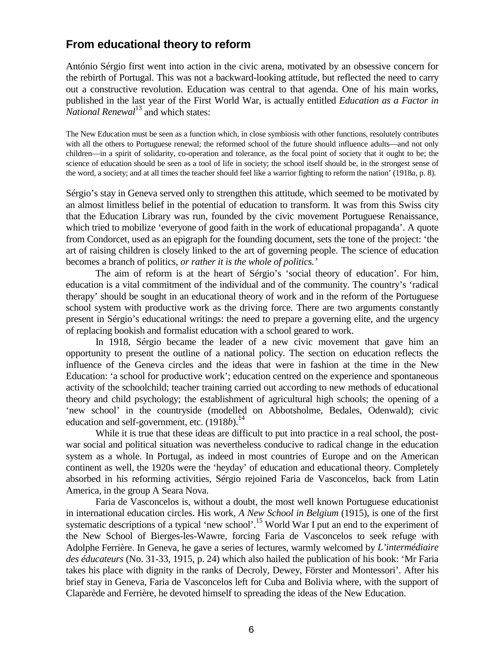# **From educational theory to reform**

António Sérgio first went into action in the civic arena, motivated by an obsessive concern for the rebirth of Portugal. This was not a backward-looking attitude, but reflected the need to carry out a constructive revolution. Education was central to that agenda. One of his main works, published in the last year of the First World War, is actually entitled *Education as a Factor in National Renewal*<sup>13</sup> and which states:

The New Education must be seen as a function which, in close symbiosis with other functions, resolutely contributes with all the others to Portuguese renewal; the reformed school of the future should influence adults—and not only children—in a spirit of solidarity, co-operation and tolerance, as the focal point of society that it ought to be; the science of education should be seen as a tool of life in society; the school itself should be, in the strongest sense of the word, a society; and at all times the teacher should feel like a warrior fighting to reform the nation' (1918*a*, p. 8).

Sérgio's stay in Geneva served only to strengthen this attitude, which seemed to be motivated by an almost limitless belief in the potential of education to transform. It was from this Swiss city that the Education Library was run, founded by the civic movement Portuguese Renaissance, which tried to mobilize 'everyone of good faith in the work of educational propaganda'. A quote from Condorcet, used as an epigraph for the founding document, sets the tone of the project: 'the art of raising children is closely linked to the art of governing people. The science of education becomes a branch of politics, *or rather it is the whole of politics.'*

The aim of reform is at the heart of Sérgio's 'social theory of education'. For him, education is a vital commitment of the individual and of the community. The country's 'radical therapy' should be sought in an educational theory of work and in the reform of the Portuguese school system with productive work as the driving force. There are two arguments constantly present in Sérgio's educational writings: the need to prepare a governing elite, and the urgency of replacing bookish and formalist education with a school geared to work.

In 1918, Sérgio became the leader of a new civic movement that gave him an opportunity to present the outline of a national policy. The section on education reflects the influence of the Geneva circles and the ideas that were in fashion at the time in the New Education: 'a school for productive work'; education centred on the experience and spontaneous activity of the schoolchild; teacher training carried out according to new methods of educational theory and child psychology; the establishment of agricultural high schools; the opening of a 'new school' in the countryside (modelled on Abbotsholme, Bedales, Odenwald); civic education and self-government, etc. (1918*b*).<sup>14</sup>

While it is true that these ideas are difficult to put into practice in a real school, the postwar social and political situation was nevertheless conducive to radical change in the education system as a whole. In Portugal, as indeed in most countries of Europe and on the American continent as well, the 1920s were the 'heyday' of education and educational theory. Completely absorbed in his reforming activities, Sérgio rejoined Faria de Vasconcelos, back from Latin America, in the group A Seara Nova.

Faria de Vasconcelos is, without a doubt, the most well known Portuguese educationist in international education circles. His work, *A New School in Belgium* (1915), is one of the first systematic descriptions of a typical 'new school'.<sup>15</sup> World War I put an end to the experiment of the New School of Bierges-les-Wawre, forcing Faria de Vasconcelos to seek refuge with Adolphe Ferrière. In Geneva, he gave a series of lectures, warmly welcomed by *L'intermédiaire des éducateurs* (No. 31-33, 1915, p. 24) which also hailed the publication of his book: 'Mr Faria takes his place with dignity in the ranks of Decroly, Dewey, Förster and Montessori'. After his brief stay in Geneva, Faria de Vasconcelos left for Cuba and Bolivia where, with the support of Claparède and Ferrière, he devoted himself to spreading the ideas of the New Education.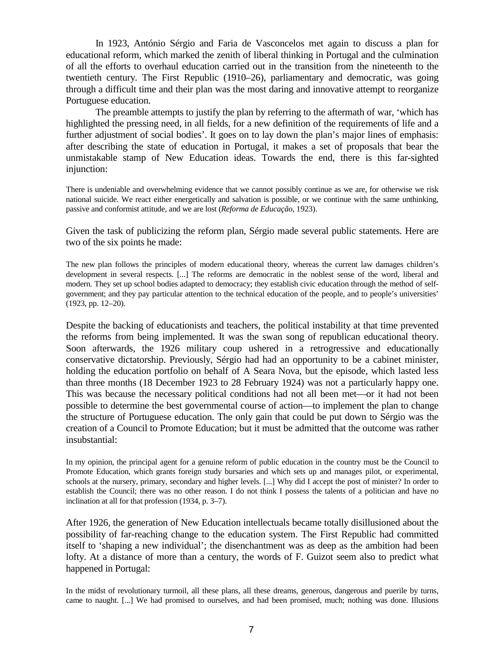In 1923, António Sérgio and Faria de Vasconcelos met again to discuss a plan for educational reform, which marked the zenith of liberal thinking in Portugal and the culmination of all the efforts to overhaul education carried out in the transition from the nineteenth to the twentieth century. The First Republic (1910–26), parliamentary and democratic, was going through a difficult time and their plan was the most daring and innovative attempt to reorganize Portuguese education.

The preamble attempts to justify the plan by referring to the aftermath of war, 'which has highlighted the pressing need, in all fields, for a new definition of the requirements of life and a further adjustment of social bodies'. It goes on to lay down the plan's major lines of emphasis: after describing the state of education in Portugal, it makes a set of proposals that bear the unmistakable stamp of New Education ideas. Towards the end, there is this far-sighted injunction:

There is undeniable and overwhelming evidence that we cannot possibly continue as we are, for otherwise we risk national suicide. We react either energetically and salvation is possible, or we continue with the same unthinking, passive and conformist attitude, and we are lost (*Reforma de Educação*, 1923).

Given the task of publicizing the reform plan, Sérgio made several public statements. Here are two of the six points he made:

The new plan follows the principles of modern educational theory, whereas the current law damages children's development in several respects. [...] The reforms are democratic in the noblest sense of the word, liberal and modern. They set up school bodies adapted to democracy; they establish civic education through the method of selfgovernment; and they pay particular attention to the technical education of the people, and to people's universities' (1923, pp. 12–20).

Despite the backing of educationists and teachers, the political instability at that time prevented the reforms from being implemented. It was the swan song of republican educational theory. Soon afterwards, the 1926 military coup ushered in a retrogressive and educationally conservative dictatorship. Previously, Sérgio had had an opportunity to be a cabinet minister, holding the education portfolio on behalf of A Seara Nova, but the episode, which lasted less than three months (18 December 1923 to 28 February 1924) was not a particularly happy one. This was because the necessary political conditions had not all been met—or it had not been possible to determine the best governmental course of action—to implement the plan to change the structure of Portuguese education. The only gain that could be put down to Sérgio was the creation of a Council to Promote Education; but it must be admitted that the outcome was rather insubstantial:

In my opinion, the principal agent for a genuine reform of public education in the country must be the Council to Promote Education, which grants foreign study bursaries and which sets up and manages pilot, or experimental, schools at the nursery, primary, secondary and higher levels. [...] Why did I accept the post of minister? In order to establish the Council; there was no other reason. I do not think I possess the talents of a politician and have no inclination at all for that profession (1934, p. 3–7).

After 1926, the generation of New Education intellectuals became totally disillusioned about the possibility of far-reaching change to the education system. The First Republic had committed itself to 'shaping a new individual'; the disenchantment was as deep as the ambition had been lofty. At a distance of more than a century, the words of F. Guizot seem also to predict what happened in Portugal:

In the midst of revolutionary turmoil, all these plans, all these dreams, generous, dangerous and puerile by turns, came to naught. [...] We had promised to ourselves, and had been promised, much; nothing was done. Illusions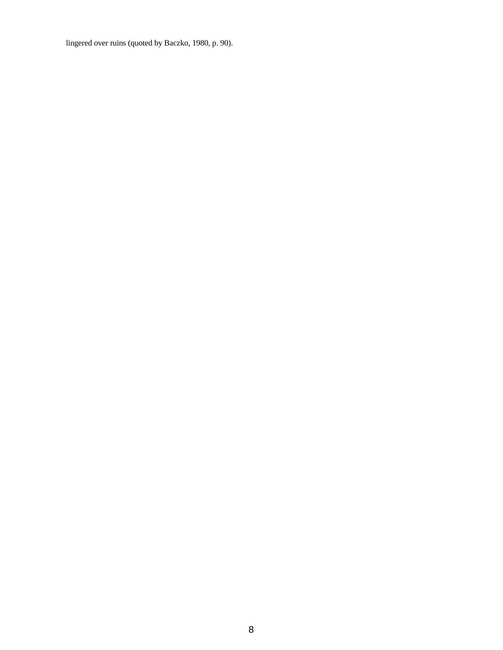lingered over ruins (quoted by Baczko, 1980, p. 90).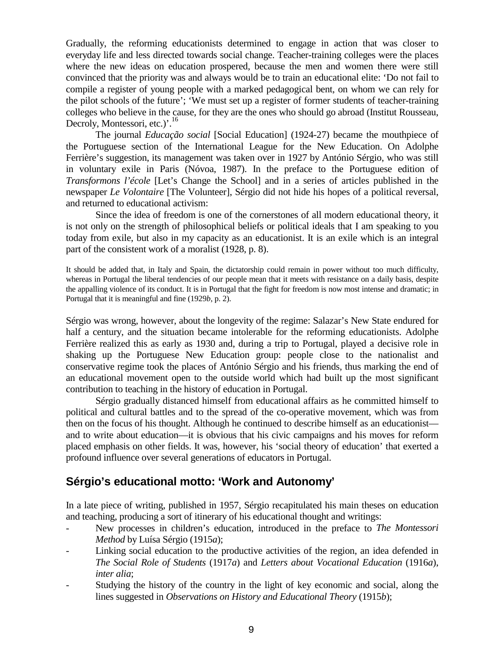Gradually, the reforming educationists determined to engage in action that was closer to everyday life and less directed towards social change. Teacher-training colleges were the places where the new ideas on education prospered, because the men and women there were still convinced that the priority was and always would be to train an educational elite: 'Do not fail to compile a register of young people with a marked pedagogical bent, on whom we can rely for the pilot schools of the future'; 'We must set up a register of former students of teacher-training colleges who believe in the cause, for they are the ones who should go abroad (Institut Rousseau, Decroly, Montessori, etc.)'.<sup>16</sup>

The journal *Educação social* [Social Education] (1924-27) became the mouthpiece of the Portuguese section of the International League for the New Education. On Adolphe Ferrière's suggestion, its management was taken over in 1927 by António Sérgio, who was still in voluntary exile in Paris (Nóvoa, 1987). In the preface to the Portuguese edition of *Transformons l'école* [Let's Change the School] and in a series of articles published in the newspaper *Le Volontaire* [The Volunteer], Sérgio did not hide his hopes of a political reversal, and returned to educational activism:

Since the idea of freedom is one of the cornerstones of all modern educational theory, it is not only on the strength of philosophical beliefs or political ideals that I am speaking to you today from exile, but also in my capacity as an educationist. It is an exile which is an integral part of the consistent work of a moralist (1928, p. 8).

It should be added that, in Italy and Spain, the dictatorship could remain in power without too much difficulty, whereas in Portugal the liberal tendencies of our people mean that it meets with resistance on a daily basis, despite the appalling violence of its conduct. It is in Portugal that the fight for freedom is now most intense and dramatic; in Portugal that it is meaningful and fine (1929*b*, p. 2).

Sérgio was wrong, however, about the longevity of the regime: Salazar's New State endured for half a century, and the situation became intolerable for the reforming educationists. Adolphe Ferrière realized this as early as 1930 and, during a trip to Portugal, played a decisive role in shaking up the Portuguese New Education group: people close to the nationalist and conservative regime took the places of António Sérgio and his friends, thus marking the end of an educational movement open to the outside world which had built up the most significant contribution to teaching in the history of education in Portugal.

Sérgio gradually distanced himself from educational affairs as he committed himself to political and cultural battles and to the spread of the co-operative movement, which was from then on the focus of his thought. Although he continued to describe himself as an educationist and to write about education—it is obvious that his civic campaigns and his moves for reform placed emphasis on other fields. It was, however, his 'social theory of education' that exerted a profound influence over several generations of educators in Portugal.

# **Sérgio's educational motto: 'Work and Autonomy'**

In a late piece of writing, published in 1957, Sérgio recapitulated his main theses on education and teaching, producing a sort of itinerary of his educational thought and writings:

- New processes in children's education, introduced in the preface to *The Montessori Method* by Luísa Sérgio (1915*a*);
- Linking social education to the productive activities of the region, an idea defended in *The Social Role of Students* (1917*a*) and *Letters about Vocational Education* (1916*a*), *inter alia*;
- Studying the history of the country in the light of key economic and social, along the lines suggested in *Observations on History and Educational Theory* (1915*b*);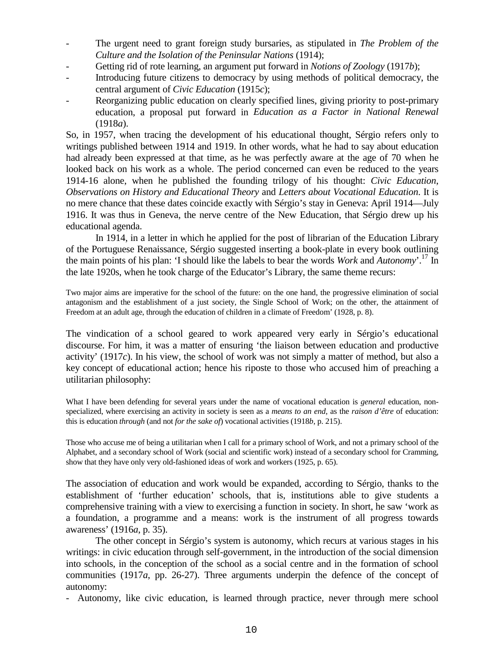- The urgent need to grant foreign study bursaries, as stipulated in *The Problem of the Culture and the Isolation of the Peninsular Nations* (1914);
- Getting rid of rote learning, an argument put forward in *Notions of Zoology* (1917*b*);
- Introducing future citizens to democracy by using methods of political democracy, the central argument of *Civic Education* (1915*c*);
- Reorganizing public education on clearly specified lines, giving priority to post-primary education, a proposal put forward in *Education as a Factor in National Renewal* (1918*a*).

So, in 1957, when tracing the development of his educational thought, Sérgio refers only to writings published between 1914 and 1919. In other words, what he had to say about education had already been expressed at that time, as he was perfectly aware at the age of 70 when he looked back on his work as a whole. The period concerned can even be reduced to the years 1914-16 alone, when he published the founding trilogy of his thought: *Civic Education*, *Observations on History and Educational Theory* and *Letters about Vocational Education*. It is no mere chance that these dates coincide exactly with Sérgio's stay in Geneva: April 1914—July 1916. It was thus in Geneva, the nerve centre of the New Education, that Sérgio drew up his educational agenda.

In 1914, in a letter in which he applied for the post of librarian of the Education Library of the Portuguese Renaissance, Sérgio suggested inserting a book-plate in every book outlining the main points of his plan: 'I should like the labels to bear the words *Work* and *Autonomy*'.17 In the late 1920s, when he took charge of the Educator's Library, the same theme recurs:

Two major aims are imperative for the school of the future: on the one hand, the progressive elimination of social antagonism and the establishment of a just society, the Single School of Work; on the other, the attainment of Freedom at an adult age, through the education of children in a climate of Freedom' (1928, p. 8).

The vindication of a school geared to work appeared very early in Sérgio's educational discourse. For him, it was a matter of ensuring 'the liaison between education and productive activity' (1917*c*). In his view, the school of work was not simply a matter of method, but also a key concept of educational action; hence his riposte to those who accused him of preaching a utilitarian philosophy:

What I have been defending for several years under the name of vocational education is *general* education, nonspecialized, where exercising an activity in society is seen as a *means to an end*, as the *raison d'être* of education: this is education *through* (and not *for the sake of*) vocational activities (1918*b*, p. 215).

Those who accuse me of being a utilitarian when I call for a primary school of Work, and not a primary school of the Alphabet, and a secondary school of Work (social and scientific work) instead of a secondary school for Cramming, show that they have only very old-fashioned ideas of work and workers (1925, p. 65).

The association of education and work would be expanded, according to Sérgio, thanks to the establishment of 'further education' schools, that is, institutions able to give students a comprehensive training with a view to exercising a function in society. In short, he saw 'work as a foundation, a programme and a means: work is the instrument of all progress towards awareness' (1916*a*, p. 35).

The other concept in Sérgio's system is autonomy, which recurs at various stages in his writings: in civic education through self-government, in the introduction of the social dimension into schools, in the conception of the school as a social centre and in the formation of school communities (1917*a*, pp. 26-27). Three arguments underpin the defence of the concept of autonomy:

- Autonomy, like civic education, is learned through practice, never through mere school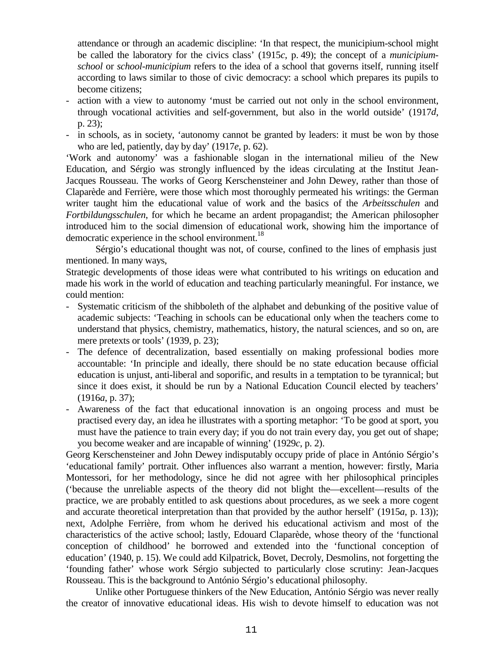attendance or through an academic discipline: 'In that respect, the municipium-school might be called the laboratory for the civics class' (1915*c*, p. 49); the concept of a *municipiumschool* or *school-municipium* refers to the idea of a school that governs itself, running itself according to laws similar to those of civic democracy: a school which prepares its pupils to become citizens;

- action with a view to autonomy 'must be carried out not only in the school environment, through vocational activities and self-government, but also in the world outside' (1917*d*, p. 23);
- in schools, as in society, 'autonomy cannot be granted by leaders: it must be won by those who are led, patiently, day by day' (1917*e*, p. 62).

'Work and autonomy' was a fashionable slogan in the international milieu of the New Education, and Sérgio was strongly influenced by the ideas circulating at the Institut Jean-Jacques Rousseau. The works of Georg Kerschensteiner and John Dewey, rather than those of Claparède and Ferrière, were those which most thoroughly permeated his writings: the German writer taught him the educational value of work and the basics of the *Arbeitsschulen* and *Fortbildungsschulen*, for which he became an ardent propagandist; the American philosopher introduced him to the social dimension of educational work, showing him the importance of democratic experience in the school environment.<sup>18</sup>

Sérgio's educational thought was not, of course, confined to the lines of emphasis just mentioned. In many ways,

Strategic developments of those ideas were what contributed to his writings on education and made his work in the world of education and teaching particularly meaningful. For instance, we could mention:

- Systematic criticism of the shibboleth of the alphabet and debunking of the positive value of academic subjects: 'Teaching in schools can be educational only when the teachers come to understand that physics, chemistry, mathematics, history, the natural sciences, and so on, are mere pretexts or tools' (1939, p. 23);
- The defence of decentralization, based essentially on making professional bodies more accountable: 'In principle and ideally, there should be no state education because official education is unjust, anti-liberal and soporific, and results in a temptation to be tyrannical; but since it does exist, it should be run by a National Education Council elected by teachers' (1916*a*, p. 37);
- Awareness of the fact that educational innovation is an ongoing process and must be practised every day, an idea he illustrates with a sporting metaphor: 'To be good at sport, you must have the patience to train every day; if you do not train every day, you get out of shape; you become weaker and are incapable of winning' (1929*c*, p. 2).

Georg Kerschensteiner and John Dewey indisputably occupy pride of place in António Sérgio's 'educational family' portrait. Other influences also warrant a mention, however: firstly, Maria Montessori, for her methodology, since he did not agree with her philosophical principles ('because the unreliable aspects of the theory did not blight the—excellent—results of the practice, we are probably entitled to ask questions about procedures, as we seek a more cogent and accurate theoretical interpretation than that provided by the author herself' (1915*a*, p. 13)); next, Adolphe Ferrière, from whom he derived his educational activism and most of the characteristics of the active school; lastly, Edouard Claparède, whose theory of the 'functional conception of childhood' he borrowed and extended into the 'functional conception of education' (1940, p. 15). We could add Kilpatrick, Bovet, Decroly, Desmolins, not forgetting the 'founding father' whose work Sérgio subjected to particularly close scrutiny: Jean-Jacques Rousseau. This is the background to António Sérgio's educational philosophy.

Unlike other Portuguese thinkers of the New Education, António Sérgio was never really the creator of innovative educational ideas. His wish to devote himself to education was not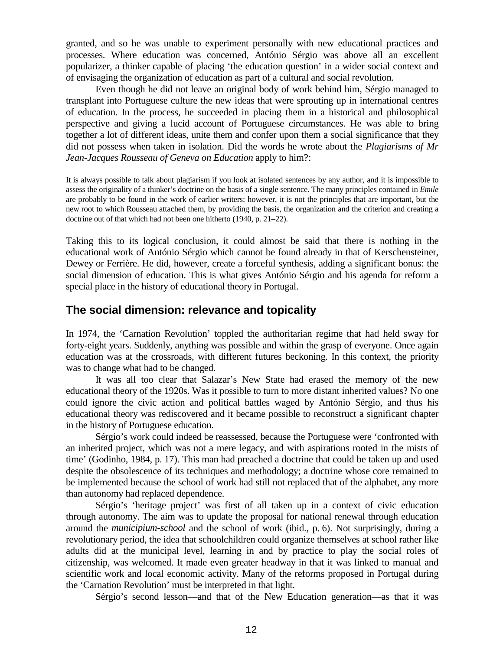granted, and so he was unable to experiment personally with new educational practices and processes. Where education was concerned, António Sérgio was above all an excellent popularizer, a thinker capable of placing 'the education question' in a wider social context and of envisaging the organization of education as part of a cultural and social revolution.

Even though he did not leave an original body of work behind him, Sérgio managed to transplant into Portuguese culture the new ideas that were sprouting up in international centres of education. In the process, he succeeded in placing them in a historical and philosophical perspective and giving a lucid account of Portuguese circumstances. He was able to bring together a lot of different ideas, unite them and confer upon them a social significance that they did not possess when taken in isolation. Did the words he wrote about the *Plagiarisms of Mr Jean-Jacques Rousseau of Geneva on Education* apply to him?:

It is always possible to talk about plagiarism if you look at isolated sentences by any author, and it is impossible to assess the originality of a thinker's doctrine on the basis of a single sentence. The many principles contained in *Emile* are probably to be found in the work of earlier writers; however, it is not the principles that are important, but the new root to which Rousseau attached them, by providing the basis, the organization and the criterion and creating a doctrine out of that which had not been one hitherto (1940, p. 21–22).

Taking this to its logical conclusion, it could almost be said that there is nothing in the educational work of António Sérgio which cannot be found already in that of Kerschensteiner, Dewey or Ferrière. He did, however, create a forceful synthesis, adding a significant bonus: the social dimension of education. This is what gives António Sérgio and his agenda for reform a special place in the history of educational theory in Portugal.

### **The social dimension: relevance and topicality**

In 1974, the 'Carnation Revolution' toppled the authoritarian regime that had held sway for forty-eight years. Suddenly, anything was possible and within the grasp of everyone. Once again education was at the crossroads, with different futures beckoning. In this context, the priority was to change what had to be changed.

It was all too clear that Salazar's New State had erased the memory of the new educational theory of the 1920s. Was it possible to turn to more distant inherited values? No one could ignore the civic action and political battles waged by António Sérgio, and thus his educational theory was rediscovered and it became possible to reconstruct a significant chapter in the history of Portuguese education.

Sérgio's work could indeed be reassessed, because the Portuguese were 'confronted with an inherited project, which was not a mere legacy, and with aspirations rooted in the mists of time' (Godinho, 1984, p. 17). This man had preached a doctrine that could be taken up and used despite the obsolescence of its techniques and methodology; a doctrine whose core remained to be implemented because the school of work had still not replaced that of the alphabet, any more than autonomy had replaced dependence.

Sérgio's 'heritage project' was first of all taken up in a context of civic education through autonomy. The aim was to update the proposal for national renewal through education around the *municipium-school* and the school of work (ibid., p. 6). Not surprisingly, during a revolutionary period, the idea that schoolchildren could organize themselves at school rather like adults did at the municipal level, learning in and by practice to play the social roles of citizenship, was welcomed. It made even greater headway in that it was linked to manual and scientific work and local economic activity. Many of the reforms proposed in Portugal during the 'Carnation Revolution' must be interpreted in that light.

Sérgio's second lesson—and that of the New Education generation—as that it was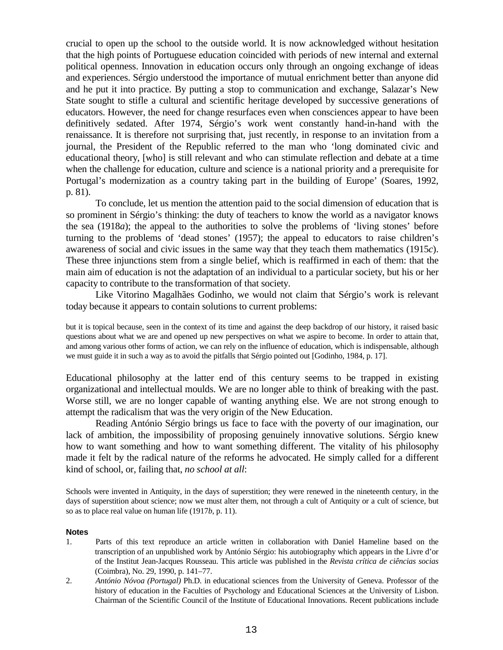crucial to open up the school to the outside world. It is now acknowledged without hesitation that the high points of Portuguese education coincided with periods of new internal and external political openness. Innovation in education occurs only through an ongoing exchange of ideas and experiences. Sérgio understood the importance of mutual enrichment better than anyone did and he put it into practice. By putting a stop to communication and exchange, Salazar's New State sought to stifle a cultural and scientific heritage developed by successive generations of educators. However, the need for change resurfaces even when consciences appear to have been definitively sedated. After 1974, Sérgio's work went constantly hand-in-hand with the renaissance. It is therefore not surprising that, just recently, in response to an invitation from a journal, the President of the Republic referred to the man who 'long dominated civic and educational theory, [who] is still relevant and who can stimulate reflection and debate at a time when the challenge for education, culture and science is a national priority and a prerequisite for Portugal's modernization as a country taking part in the building of Europe' (Soares, 1992, p. 81).

To conclude, let us mention the attention paid to the social dimension of education that is so prominent in Sérgio's thinking: the duty of teachers to know the world as a navigator knows the sea (1918*a*); the appeal to the authorities to solve the problems of 'living stones' before turning to the problems of 'dead stones' (1957); the appeal to educators to raise children's awareness of social and civic issues in the same way that they teach them mathematics (1915*c*). These three injunctions stem from a single belief, which is reaffirmed in each of them: that the main aim of education is not the adaptation of an individual to a particular society, but his or her capacity to contribute to the transformation of that society.

Like Vitorino Magalhães Godinho, we would not claim that Sérgio's work is relevant today because it appears to contain solutions to current problems:

but it is topical because, seen in the context of its time and against the deep backdrop of our history, it raised basic questions about what we are and opened up new perspectives on what we aspire to become. In order to attain that, and among various other forms of action, we can rely on the influence of education, which is indispensable, although we must guide it in such a way as to avoid the pitfalls that Sérgio pointed out [Godinho, 1984, p. 17].

Educational philosophy at the latter end of this century seems to be trapped in existing organizational and intellectual moulds. We are no longer able to think of breaking with the past. Worse still, we are no longer capable of wanting anything else. We are not strong enough to attempt the radicalism that was the very origin of the New Education.

Reading António Sérgio brings us face to face with the poverty of our imagination, our lack of ambition, the impossibility of proposing genuinely innovative solutions. Sérgio knew how to want something and how to want something different. The vitality of his philosophy made it felt by the radical nature of the reforms he advocated. He simply called for a different kind of school, or, failing that, *no school at all*:

Schools were invented in Antiquity, in the days of superstition; they were renewed in the nineteenth century, in the days of superstition about science; now we must alter them, not through a cult of Antiquity or a cult of science, but so as to place real value on human life (1917*b*, p. 11).

#### **Notes**

- 1. Parts of this text reproduce an article written in collaboration with Daniel Hameline based on the transcription of an unpublished work by António Sérgio: his autobiography which appears in the Livre d'or of the Institut Jean-Jacques Rousseau. This article was published in the *Revista crítica de ciências socias* (Coimbra), No. 29, 1990, p. 141–77.
- 2. *António Nóvoa (Portugal)* Ph.D. in educational sciences from the University of Geneva. Professor of the history of education in the Faculties of Psychology and Educational Sciences at the University of Lisbon. Chairman of the Scientific Council of the Institute of Educational Innovations. Recent publications include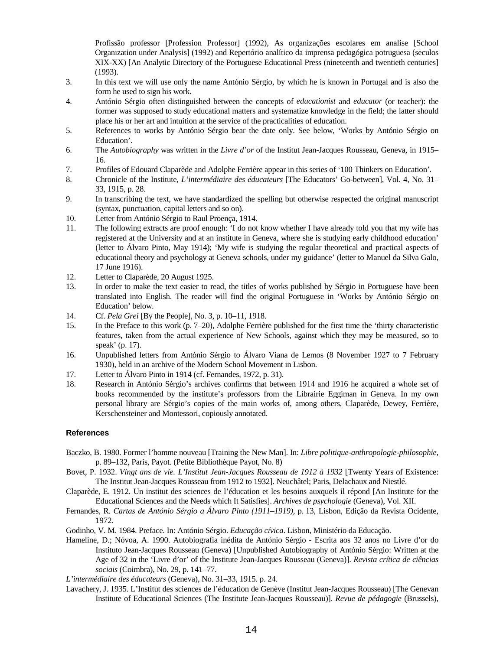Profissão professor [Profession Professor] (1992), As organizações escolares em analise [School Organization under Analysis] (1992) and Repertório analítico da imprensa pedagógica potruguesa (seculos XIX-XX) [An Analytic Directory of the Portuguese Educational Press (nineteenth and twentieth centuries] (1993).

- 3. In this text we will use only the name António Sérgio, by which he is known in Portugal and is also the form he used to sign his work.
- 4. António Sérgio often distinguished between the concepts of *educationist* and *educator* (or teacher): the former was supposed to study educational matters and systematize knowledge in the field; the latter should place his or her art and intuition at the service of the practicalities of education.
- 5. References to works by António Sérgio bear the date only. See below, 'Works by António Sérgio on Education'.
- 6. The *Autobiography* was written in the *Livre d'or* of the Institut Jean-Jacques Rousseau, Geneva, in 1915– 16.
- 7. Profiles of Edouard Claparède and Adolphe Ferrière appear in this series of '100 Thinkers on Education'.
- 8. Chronicle of the Institute, *L'intermédiaire des éducateurs* [The Educators' Go-between], Vol. 4, No. 31– 33, 1915, p. 28.
- 9. In transcribing the text, we have standardized the spelling but otherwise respected the original manuscript (syntax, punctuation, capital letters and so on).
- 10. Letter from António Sérgio to Raul Proença, 1914.
- 11. The following extracts are proof enough: 'I do not know whether I have already told you that my wife has registered at the University and at an institute in Geneva, where she is studying early childhood education' (letter to Álvaro Pinto, May 1914); 'My wife is studying the regular theoretical and practical aspects of educational theory and psychology at Geneva schools, under my guidance' (letter to Manuel da Silva Galo, 17 June 1916).
- 12. Letter to Claparède, 20 August 1925.
- 13. In order to make the text easier to read, the titles of works published by Sérgio in Portuguese have been translated into English. The reader will find the original Portuguese in 'Works by António Sérgio on Education' below.
- 14. Cf. *Pela Grei* [By the People], No. 3, p. 10–11, 1918.
- 15. In the Preface to this work (p. 7–20), Adolphe Ferrière published for the first time the 'thirty characteristic features, taken from the actual experience of New Schools, against which they may be measured, so to speak' (p. 17).
- 16. Unpublished letters from António Sérgio to Álvaro Viana de Lemos (8 November 1927 to 7 February 1930), held in an archive of the Modern School Movement in Lisbon.
- 17. Letter to Álvaro Pinto in 1914 (cf. Fernandes, 1972, p. 31).
- 18. Research in António Sérgio's archives confirms that between 1914 and 1916 he acquired a whole set of books recommended by the institute's professors from the Librairie Eggiman in Geneva. In my own personal library are Sérgio's copies of the main works of, among others, Claparède, Dewey, Ferrière, Kerschensteiner and Montessori, copiously annotated.

#### **References**

- Baczko, B. 1980. Former l'homme nouveau [Training the New Man]. In: *Libre politique-anthropologie-philosophie*, p. 89–132, Paris, Payot. (Petite Bibliothèque Payot, No. 8)
- Bovet, P. 1932. *Vingt ans de vie. L'Institut Jean-Jacques Rousseau de 1912 à 1932* [Twenty Years of Existence: The Institut Jean-Jacques Rousseau from 1912 to 1932]. Neuchâtel; Paris, Delachaux and Niestlé.
- Claparède, E. 1912. Un institut des sciences de l'éducation et les besoins auxquels il répond [An Institute for the Educational Sciences and the Needs which It Satisfies]. *Archives de psychologie* (Geneva), Vol. XII.
- Fernandes, R. *Cartas de António Sérgio a Álvaro Pinto (1911–1919),* p. 13, Lisbon, Edição da Revista Ocidente, 1972.
- Godinho, V. M. 1984. Preface. In: António Sérgio. *Educação cívica*. Lisbon, Ministério da Educação.
- Hameline, D.; Nóvoa, A. 1990. Autobiografia inédita de António Sérgio Escrita aos 32 anos no Livre d'or do Instituto Jean-Jacques Rousseau (Geneva) [Unpublished Autobiography of António Sérgio: Written at the Age of 32 in the 'Livre d'or' of the Institute Jean-Jacques Rousseau (Geneva)]. *Revista crítica de ciências sociais* (Coimbra), No. 29, p. 141–77.
- *L'intermédiaire des éducateurs* (Geneva), No. 31–33, 1915. p. 24.
- Lavachery, J. 1935. L'Institut des sciences de l'éducation de Genève (Institut Jean-Jacques Rousseau) [The Genevan Institute of Educational Sciences (The Institute Jean-Jacques Rousseau)]. *Revue de pédagogie* (Brussels),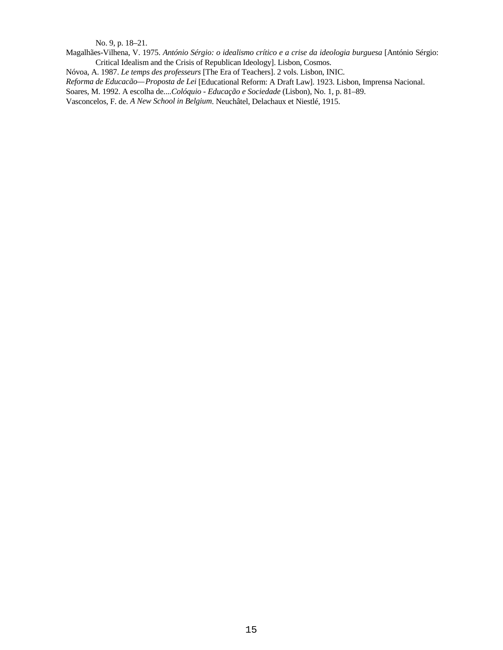No. 9, p. 18–21.

Magalhães-Vilhena, V. 1975. *António Sérgio: o idealismo crítico e a crise da ideologia burguesa* [António Sérgio: Critical Idealism and the Crisis of Republican Ideology]. Lisbon, Cosmos.

Nóvoa, A. 1987. *Le temps des professeurs* [The Era of Teachers]. 2 vols. Lisbon, INIC.

*Reforma de Educacão—Proposta de Lei* [Educational Reform: A Draft Law]. 1923. Lisbon, Imprensa Nacional.

Soares, M. 1992. A escolha de....*Colóquio - Educação e Sociedade* (Lisbon), No. 1, p. 81–89.

Vasconcelos, F. de. *A New School in Belgium*. Neuchâtel, Delachaux et Niestlé, 1915.